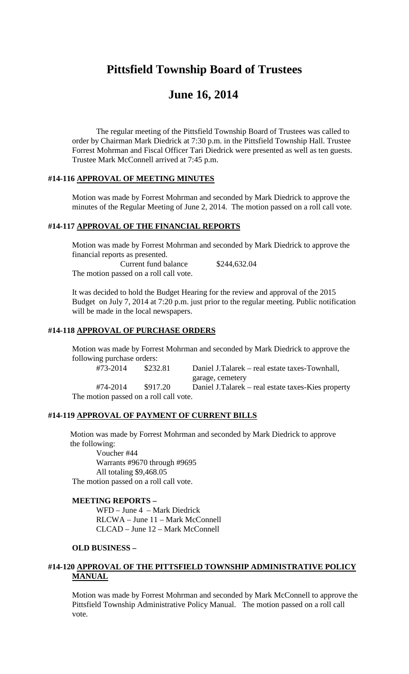# **Pittsfield Township Board of Trustees**

# **June 16, 2014**

The regular meeting of the Pittsfield Township Board of Trustees was called to order by Chairman Mark Diedrick at 7:30 p.m. in the Pittsfield Township Hall. Trustee Forrest Mohrman and Fiscal Officer Tari Diedrick were presented as well as ten guests. Trustee Mark McConnell arrived at 7:45 p.m.

#### **#14-116 APPROVAL OF MEETING MINUTES**

Motion was made by Forrest Mohrman and seconded by Mark Diedrick to approve the minutes of the Regular Meeting of June 2, 2014. The motion passed on a roll call vote.

### **#14-117 APPROVAL OF THE FINANCIAL REPORTS**

Motion was made by Forrest Mohrman and seconded by Mark Diedrick to approve the financial reports as presented.

Current fund balance \$244,632.04 The motion passed on a roll call vote.

It was decided to hold the Budget Hearing for the review and approval of the 2015 Budget on July 7, 2014 at 7:20 p.m. just prior to the regular meeting. Public notification will be made in the local newspapers.

#### **#14-118 APPROVAL OF PURCHASE ORDERS**

Motion was made by Forrest Mohrman and seconded by Mark Diedrick to approve the following purchase orders:<br> $\text{\#73-2014}$  \$232

\$232.81 Daniel J.Talarek – real estate taxes-Townhall, garage, cemetery #74-2014 \$917.20 Daniel J.Talarek – real estate taxes-Kies property The motion passed on a roll call vote.

### **#14-119 APPROVAL OF PAYMENT OF CURRENT BILLS**

Motion was made by Forrest Mohrman and seconded by Mark Diedrick to approve the following:

Voucher #44 Warrants #9670 through #9695 All totaling \$9,468.05 The motion passed on a roll call vote.

#### **MEETING REPORTS –**

WFD – June 4 – Mark Diedrick RLCWA – June 11 – Mark McConnell CLCAD – June 12 – Mark McConnell

#### **OLD BUSINESS –**

### **#14-120 APPROVAL OF THE PITTSFIELD TOWNSHIP ADMINISTRATIVE POLICY MANUAL**

Motion was made by Forrest Mohrman and seconded by Mark McConnell to approve the Pittsfield Township Administrative Policy Manual. The motion passed on a roll call vote.